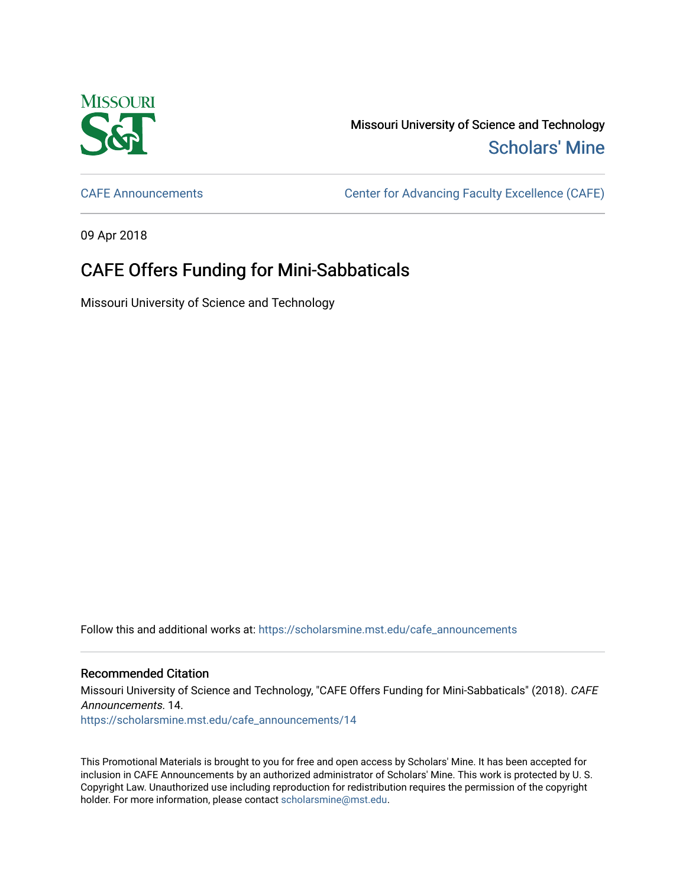

Missouri University of Science and Technology [Scholars' Mine](https://scholarsmine.mst.edu/) 

[CAFE Announcements](https://scholarsmine.mst.edu/cafe_announcements) [Center for Advancing Faculty Excellence \(CAFE\)](https://scholarsmine.mst.edu/cafe) 

09 Apr 2018

## CAFE Offers Funding for Mini-Sabbaticals

Missouri University of Science and Technology

Follow this and additional works at: [https://scholarsmine.mst.edu/cafe\\_announcements](https://scholarsmine.mst.edu/cafe_announcements?utm_source=scholarsmine.mst.edu%2Fcafe_announcements%2F14&utm_medium=PDF&utm_campaign=PDFCoverPages) 

## Recommended Citation

Missouri University of Science and Technology, "CAFE Offers Funding for Mini-Sabbaticals" (2018). CAFE Announcements. 14. [https://scholarsmine.mst.edu/cafe\\_announcements/14](https://scholarsmine.mst.edu/cafe_announcements/14?utm_source=scholarsmine.mst.edu%2Fcafe_announcements%2F14&utm_medium=PDF&utm_campaign=PDFCoverPages)

This Promotional Materials is brought to you for free and open access by Scholars' Mine. It has been accepted for inclusion in CAFE Announcements by an authorized administrator of Scholars' Mine. This work is protected by U. S. Copyright Law. Unauthorized use including reproduction for redistribution requires the permission of the copyright holder. For more information, please contact [scholarsmine@mst.edu.](mailto:scholarsmine@mst.edu)